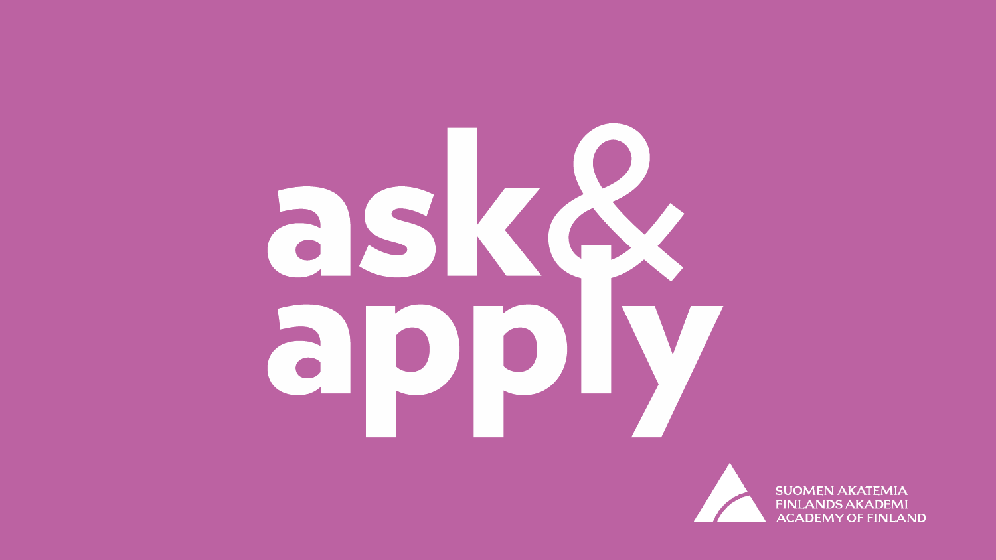# askA apply



**SUOMEN AKATEMIA FINLANDS AKADEMI ACADEMY OF FINLAND**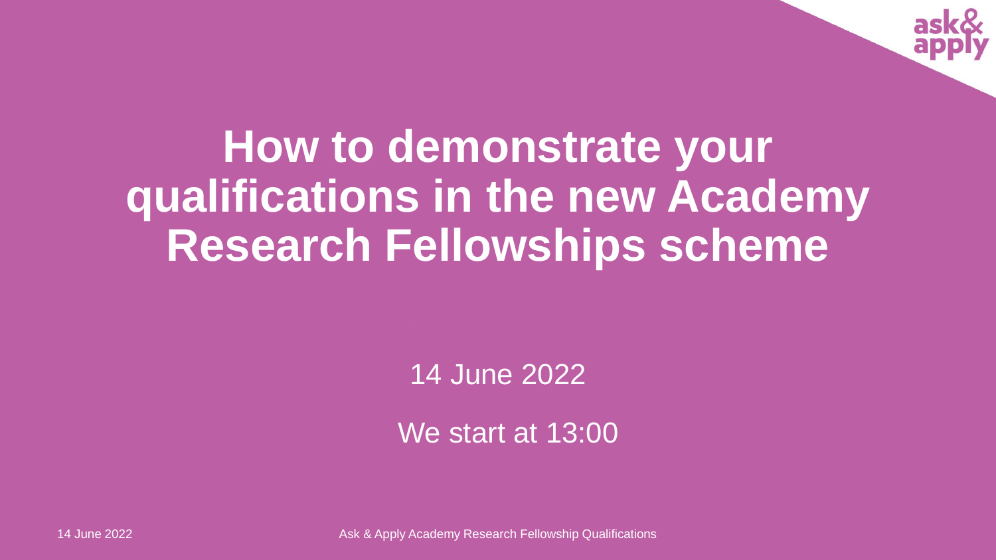

# **How to demonstrate your qualifications in the new Academy Research Fellowships scheme**

14 June 2022

We start at 13:00

14 June 2022 Ask & Apply Academy Research Fellowship Qualifications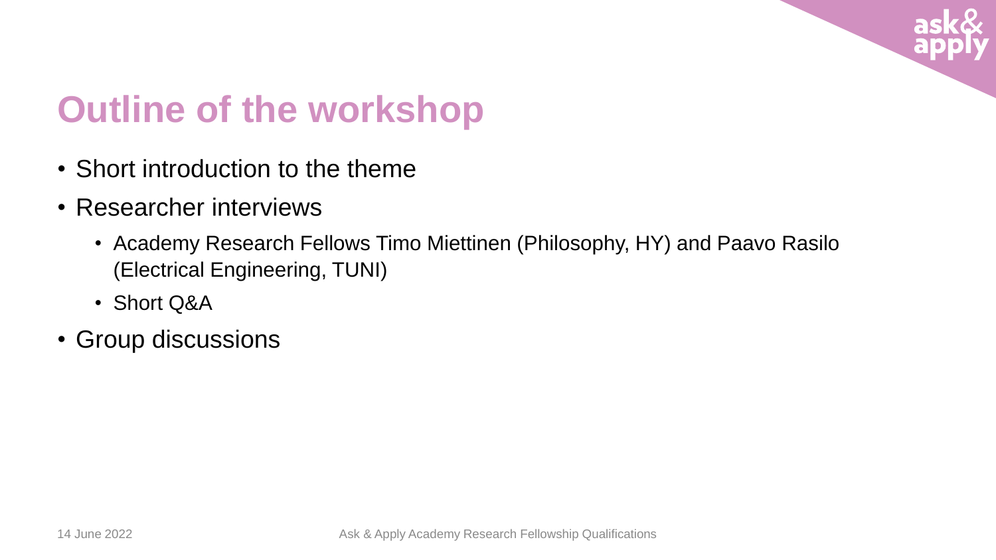

## **Outline of the workshop**

- Short introduction to the theme
- Researcher interviews
	- Academy Research Fellows Timo Miettinen (Philosophy, HY) and Paavo Rasilo (Electrical Engineering, TUNI)
	- Short Q&A
- Group discussions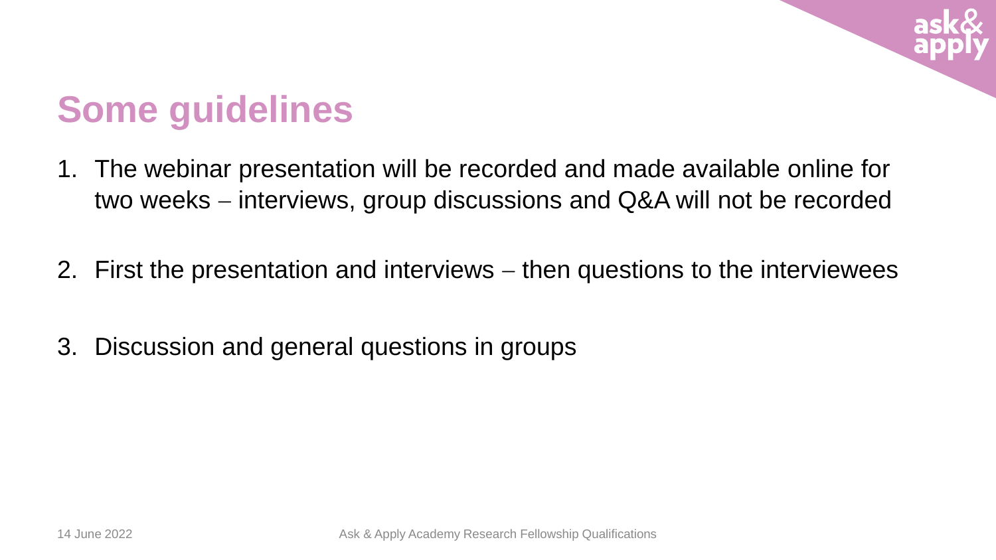

## **Some guidelines**

- 1. The webinar presentation will be recorded and made available online for two weeks – interviews, group discussions and Q&A will not be recorded
- 2. First the presentation and interviews then questions to the interviewees
- 3. Discussion and general questions in groups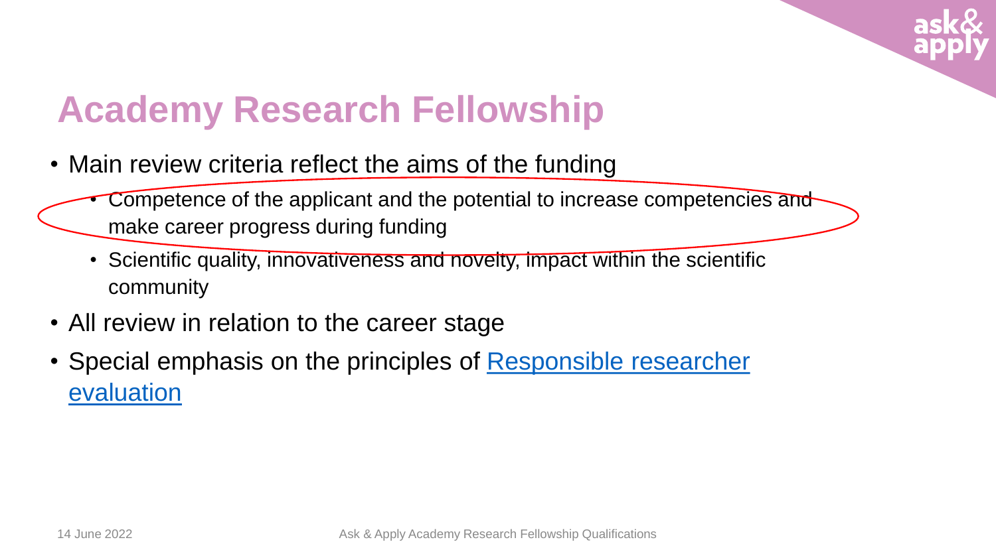

## **Academy Research Fellowship**

- Main review criteria reflect the aims of the funding
	- Competence of the applicant and the potential to increase competencies and make career progress during funding
	- Scientific quality, innovativeness and novelty, impact within the scientific community
- All review in relation to the career stage
- Special emphasis on the principles [of Responsible](https://www.aka.fi/en/research-funding/responsible-science/responsible-researcher-evaluation/) researcher evaluation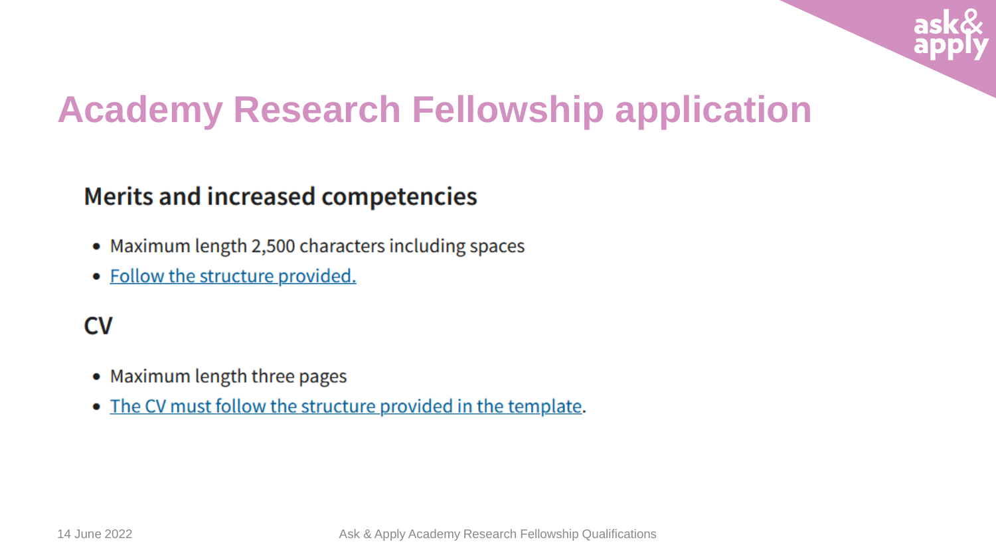

## **Academy Research Fellowship application**

## **Merits and increased competencies**

- Maximum length 2,500 characters including spaces
- Follow the structure provided.

## **CV**

- Maximum length three pages
- The CV must follow the structure provided in the template.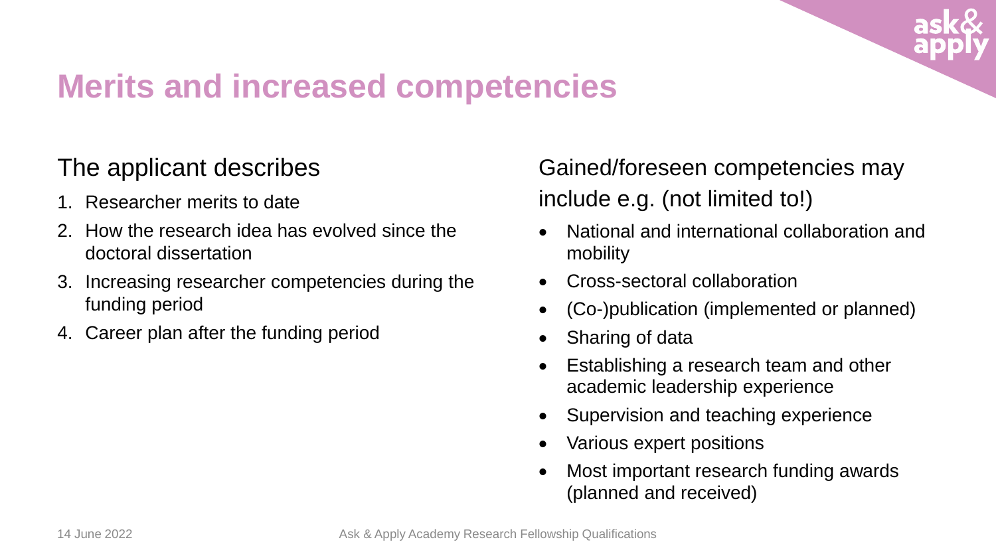

## **Merits and increased competencies**

## The applicant describes

- 1. Researcher merits to date
- 2. How the research idea has evolved since the doctoral dissertation
- 3. Increasing researcher competencies during the funding period
- 4. Career plan after the funding period

Gained/foreseen competencies may include e.g. (not limited to!)

- National and international collaboration and mobility
- Cross-sectoral collaboration
- (Co-)publication (implemented or planned)
- Sharing of data
- Establishing a research team and other academic leadership experience
- Supervision and teaching experience
- Various expert positions
- Most important research funding awards (planned and received)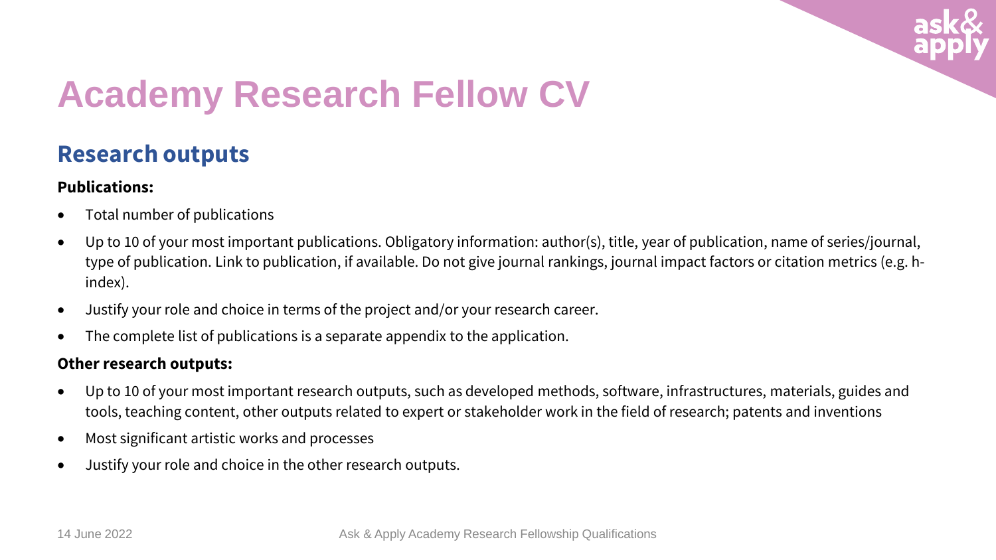

## **Academy Research Fellow CV**

### **Research outputs**

#### **Publications:**

- Total number of publications
- Up to 10 of your most important publications. Obligatory information: author(s), title, year of publication, name of series/journal, type of publication. Link to publication, if available. Do not give journal rankings, journal impact factors or citation metrics (e.g. hindex).
- Justify your role and choice in terms of the project and/or your research career.
- The complete list of publications is a separate appendix to the application.

#### **Other research outputs:**

- Up to 10 of your most important research outputs, such as developed methods, software, infrastructures, materials, guides and tools, teaching content, other outputs related to expert or stakeholder work in the field of research; patents and inventions
- Most significant artistic works and processes
- Justify your role and choice in the other research outputs.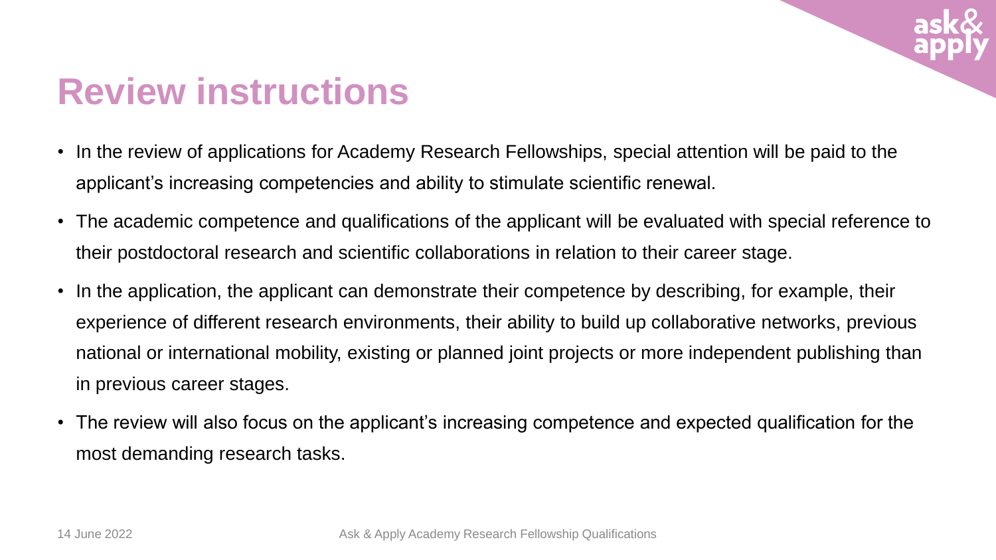

## **Review instructions**

- In the review of applications for Academy Research Fellowships, special attention will be paid to the applicant's increasing competencies and ability to stimulate scientific renewal.
- The academic competence and qualifications of the applicant will be evaluated with special reference to their postdoctoral research and scientific collaborations in relation to their career stage.
- In the application, the applicant can demonstrate their competence by describing, for example, their experience of different research environments, their ability to build up collaborative networks, previous national or international mobility, existing or planned joint projects or more independent publishing than in previous career stages.
- The review will also focus on the applicant's increasing competence and expected qualification for the most demanding research tasks.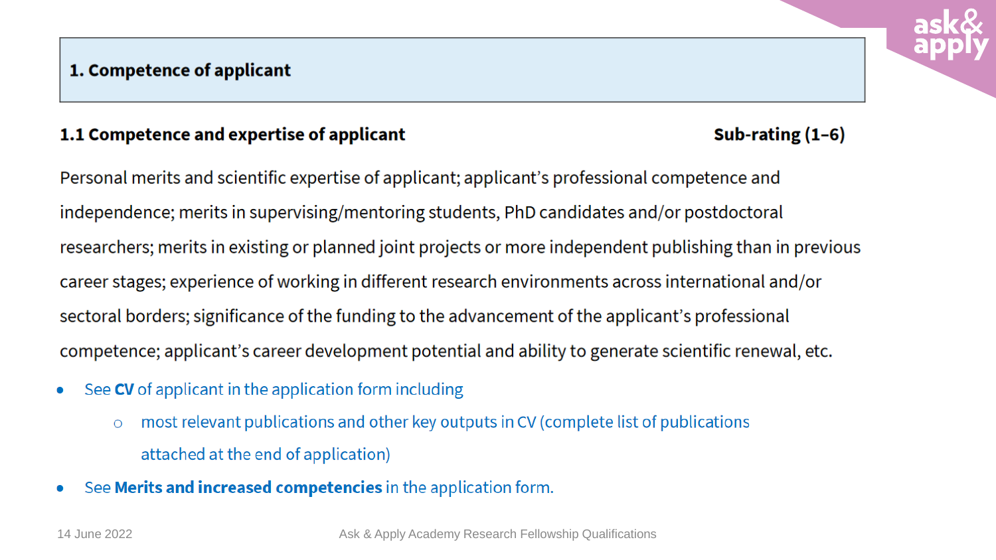#### 1. Competence of applicant

#### 1.1 Competence and expertise of applicant

Sub-rating  $(1-6)$ 

Personal merits and scientific expertise of applicant; applicant's professional competence and independence; merits in supervising/mentoring students, PhD candidates and/or postdoctoral researchers; merits in existing or planned joint projects or more independent publishing than in previous career stages; experience of working in different research environments across international and/or sectoral borders; significance of the funding to the advancement of the applicant's professional competence; applicant's career development potential and ability to generate scientific renewal, etc.

- See CV of applicant in the application form including  $\bullet$ 
	- most relevant publications and other key outputs in CV (complete list of publications  $\overline{O}$ attached at the end of application)
- See Merits and increased competencies in the application form.  $\bullet$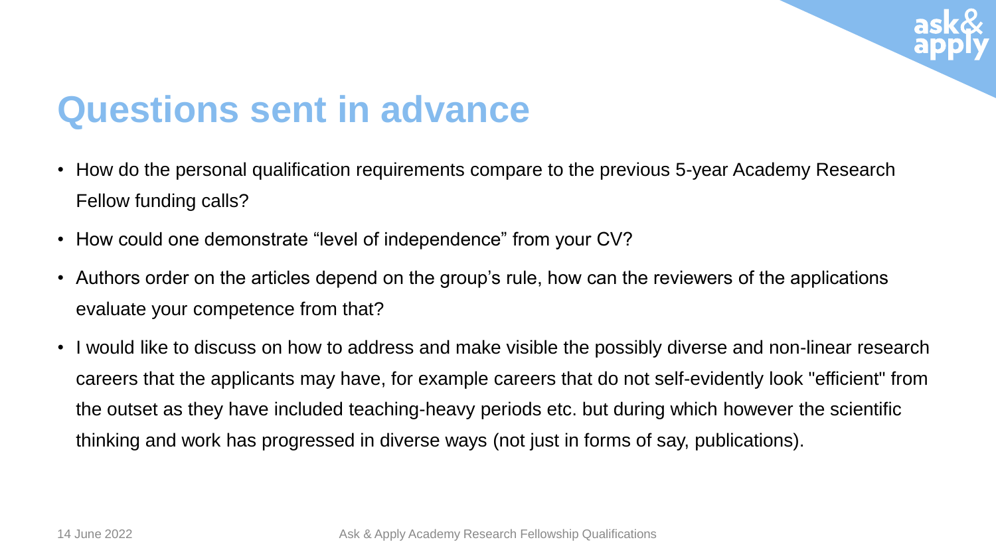

## **Questions sent in advance**

- How do the personal qualification requirements compare to the previous 5-year Academy Research Fellow funding calls?
- How could one demonstrate "level of independence" from your CV?
- Authors order on the articles depend on the group's rule, how can the reviewers of the applications evaluate your competence from that?
- I would like to discuss on how to address and make visible the possibly diverse and non-linear research careers that the applicants may have, for example careers that do not self-evidently look "efficient" from the outset as they have included teaching-heavy periods etc. but during which however the scientific thinking and work has progressed in diverse ways (not just in forms of say, publications).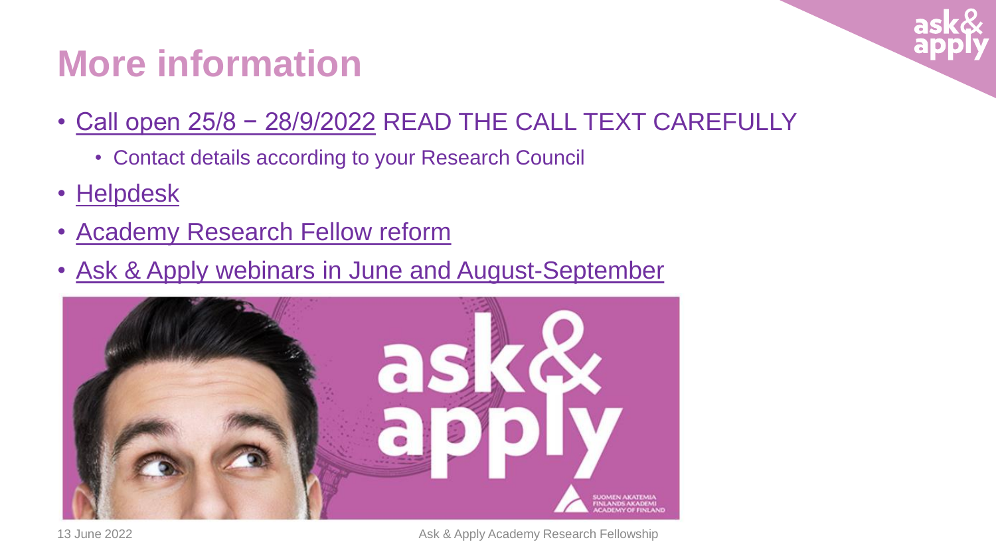## **More information**

- [Call open 25/8 − 28/9/2022](https://www.aka.fi/en/research-funding/apply-for-funding/calls-for-applications/for-researchers/academy-research-fellowships-2022-all-research-fields/) READ THE CALL TEXT CAREFULLY
	- Contact details according to your Research Council
- [Helpdesk](https://www.aka.fi/en/contacts/questions-and-feedback/)
- [Academy Research](http://www.aka.fi/en/research-funding/apply-for-funding/how-to-apply-for-funding/academy-research-fellow-reform/) Fellow reform
- Ask & Apply webinars in June [and August-September](https://www.aka.fi/en/research-funding/apply-for-funding/how-to-apply-for-funding/ask--apply/?_t_id=MZCH3_X73fSyxGpb53zH6g%3d%3d&_t_uuid=KoLxLPl0RUSBx2RwJcgI2g&_t_q=ask&_t_tags=language%3aen%2csiteid%3a89e2ba17-5f81-4e18-a6e2-27ce1774d3e5%2candquerymatch&_t_hit.id=AkaFi_Web_Models_Pages_ArticlePage/_2fffd3d2-e482-4dbc-a014-19ba0c10cde2_en&_t_hit.pos=1)



13 June 2022 **Ask & Apply Academy Research Fellowship** Ask & Apply Academy Research Fellowship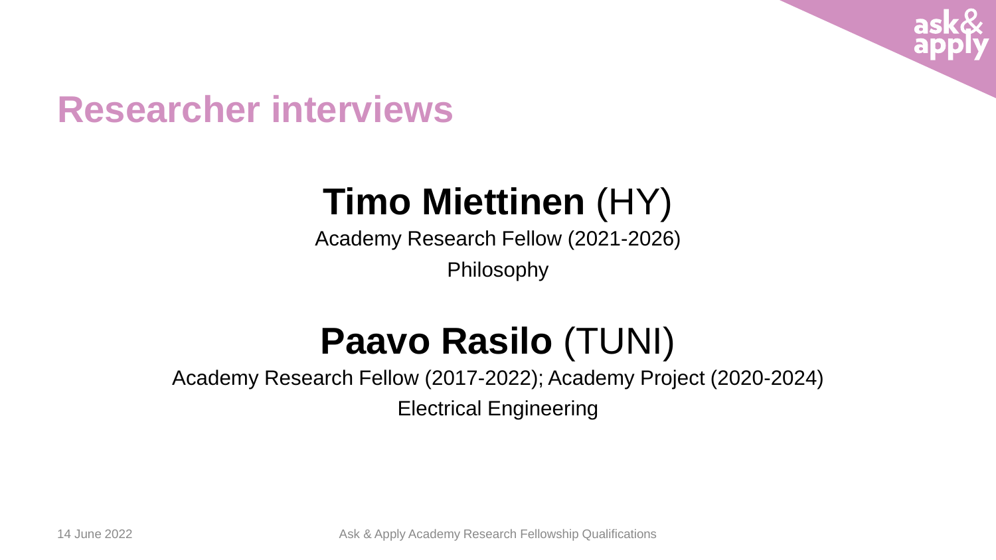

## **Researcher interviews**

# **Timo Miettinen** (HY)

Academy Research Fellow (2021-2026)

Philosophy

# **Paavo Rasilo** (TUNI)

Academy Research Fellow (2017-2022); Academy Project (2020-2024)

Electrical Engineering

14 June 2022 **Ask & Apply Academy Research Fellowship Qualifications**